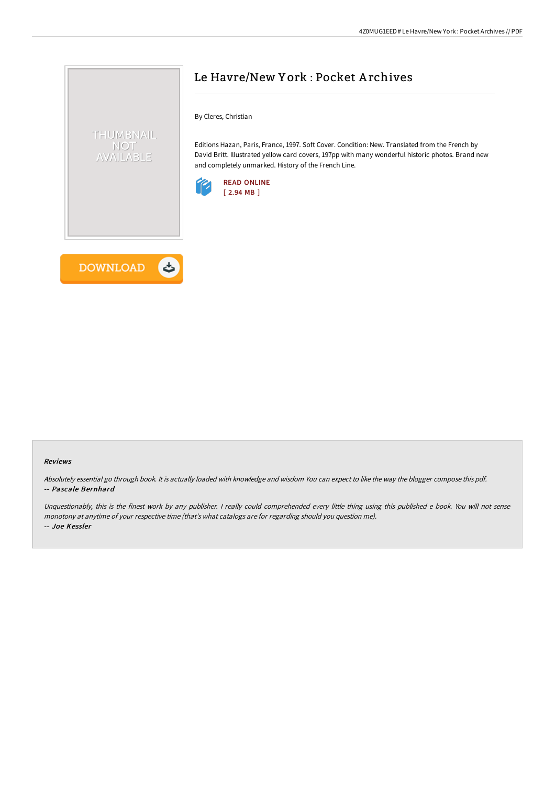

**DOWNLOAD** 

くち

# Le Havre/New Y ork : Pocket A rchives

By Cleres, Christian

Editions Hazan, Paris, France, 1997. Soft Cover. Condition: New. Translated from the French by David Britt. Illustrated yellow card covers, 197pp with many wonderful historic photos. Brand new and completely unmarked. History of the French Line.



#### Reviews

Absolutely essential go through book. It is actually loaded with knowledge and wisdom You can expect to like the way the blogger compose this pdf. -- Pascale Bernhard

Unquestionably, this is the finest work by any publisher. <sup>I</sup> really could comprehended every little thing using this published <sup>e</sup> book. You will not sense monotony at anytime of your respective time (that's what catalogs are for regarding should you question me). -- Joe Kessler